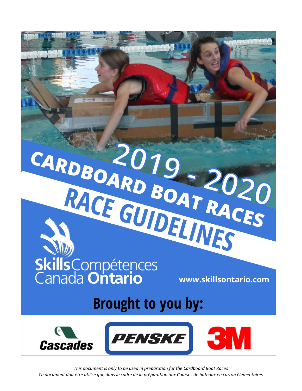

*This document is only to be used in preparation for the Cardboard Boat Races Ce document doit être utilisé que dans le cadre de la préparation aux Courses de bateaux en carton élémentaires*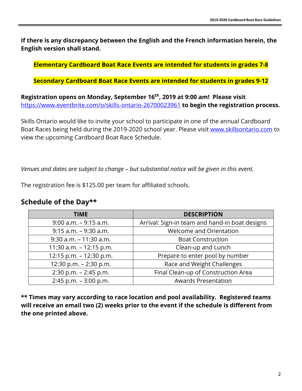**If there is any discrepancy between the English and the French information herein, the English version shall stand.**

**Elementary Cardboard Boat Race Events are intended for students in grades 7-8**

**Secondary Cardboard Boat Race Events are intended for students in grades 9-12**

**Registration opens on Monday, September 16th, 2019 at 9:00 am! Please visit**  <https://www.eventbrite.com/o/skills-ontario-26700023961> **to begin the registration process.**

Skills Ontario would like to invite your school to participate in one of the annual Cardboard Boat Races being held during the 2019-2020 school year. Please visit [www.skillsontario.com](http://www.skillsontario.com/) to view the upcoming Cardboard Boat Race Schedule.

*Venues and dates are subject to change – but substantial notice will be given in this event.*

The registration fee is \$125.00 per team for affiliated schools.

### **Schedule of the Day\*\***

| <b>TIME</b>               | <b>DESCRIPTION</b>                             |  |
|---------------------------|------------------------------------------------|--|
| $9:00$ a.m. $-9:15$ a.m.  | Arrival: Sign-in team and hand-in boat designs |  |
| $9:15$ a.m. $-9:30$ a.m.  | <b>Welcome and Orientation</b>                 |  |
| $9:30$ a.m. $-11:30$ a.m. | <b>Boat Construction</b>                       |  |
| 11:30 a.m. $-12:15$ p.m.  | Clean-up and Lunch                             |  |
| 12:15 p.m. - 12:30 p.m.   | Prepare to enter pool by number                |  |
| 12:30 p.m. $- 2:30$ p.m.  | Race and Weight Challenges                     |  |
| $2:30$ p.m. $- 2:45$ p.m. | Final Clean-up of Construction Area            |  |
| $2:45$ p.m. $-3:00$ p.m.  | <b>Awards Presentation</b>                     |  |

**\*\* Times may vary according to race location and pool availability. Registered teams will receive an email two (2) weeks prior to the event if the schedule is different from the one printed above.**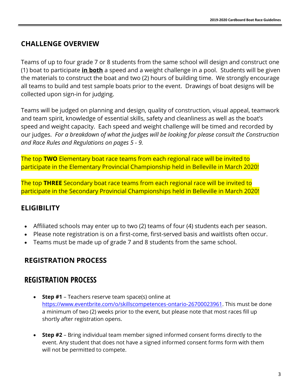## **CHALLENGE OVERVIEW**

Teams of up to four grade 7 or 8 students from the same school will design and construct one (1) boat to participate **in both** a speed and a weight challenge in a pool. Students will be given the materials to construct the boat and two (2) hours of building time. We strongly encourage all teams to build and test sample boats prior to the event. Drawings of boat designs will be collected upon sign-in for judging.

Teams will be judged on planning and design, quality of construction, visual appeal, teamwork and team spirit, knowledge of essential skills, safety and cleanliness as well as the boat's speed and weight capacity. Each speed and weight challenge will be timed and recorded by our judges. *For a breakdown of what the judges will be looking for please consult the Construction and Race Rules and Regulations on pages 5 - 9.*

The top **TWO** Elementary boat race teams from each regional race will be invited to participate in the Elementary Provincial Championship held in Belleville in March 2020!

The top **THREE** Secondary boat race teams from each regional race will be invited to participate in the Secondary Provincial Championships held in Belleville in March 2020!

## **ELIGIBILITY**

- Affiliated schools may enter up to two (2) teams of four (4) students each per season.
- Please note registration is on a first-come, first-served basis and waitlists often occur.
- Teams must be made up of grade 7 and 8 students from the same school.

## **REGISTRATION PROCESS**

## **REGISTRATION PROCESS**

- **Step #1** Teachers reserve team space(s) online at [https://www.eventbrite.com/o/skillscompetences-ontario-26700023961.](https://www.eventbrite.com/o/skillscompetences-ontario-26700023961) This must be done a minimum of two (2) weeks prior to the event, but please note that most races fill up shortly after registration opens.
- **Step #2** Bring individual team member signed informed consent forms directly to the event. Any student that does not have a signed informed consent forms form with them will not be permitted to compete.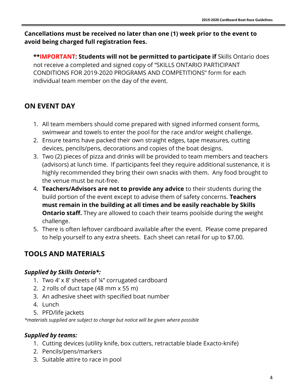### **Cancellations must be received no later than one (1) week prior to the event to avoid being charged full registration fees.**

**\*\*IMPORTANT: Students will not be permitted to participate if** Skills Ontario does not receive a completed and signed copy of "SKILLS ONTARIO PARTICIPANT CONDITIONS FOR 2019-2020 PROGRAMS AND COMPETITIONS" form for each individual team member on the day of the event.

# **ON EVENT DAY**

- 1. All team members should come prepared with signed informed consent forms, swimwear and towels to enter the pool for the race and/or weight challenge.
- 2. Ensure teams have packed their own straight edges, tape measures, cutting devices, pencils/pens, decorations and copies of the boat designs.
- 3. Two (2) pieces of pizza and drinks will be provided to team members and teachers (advisors) at lunch time. If participants feel they require additional sustenance, it is highly recommended they bring their own snacks with them. Any food brought to the venue must be nut-free.
- 4. **Teachers/Advisors are not to provide any advice** to their students during the build portion of the event except to advise them of safety concerns. **Teachers must remain in the building at all times and be easily reachable by Skills Ontario staff.** They are allowed to coach their teams poolside during the weight challenge.
- 5. There is often leftover cardboard available after the event. Please come prepared to help yourself to any extra sheets. Each sheet can retail for up to \$7.00.

# **TOOLS AND MATERIALS**

### *Supplied by Skills Ontario\*:*

- 1. Two 4' x 8' sheets of ¼" corrugated cardboard
- 2. 2 rolls of duct tape (48 mm x 55 m)
- 3. An adhesive sheet with specified boat number
- 4. Lunch
- 5. PFD/life jackets

*\*materials supplied are subject to change but notice will be given where possible*

### *Supplied by teams:*

- 1. Cutting devices (utility knife, box cutters, retractable blade Exacto-knife)
- 2. Pencils/pens/markers
- 3. Suitable attire to race in pool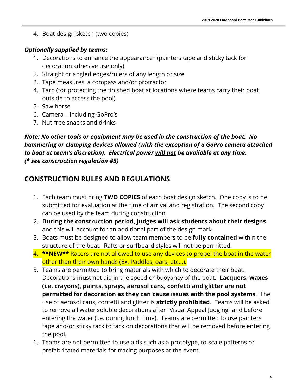4. Boat design sketch (two copies)

### *Optionally supplied by teams:*

- 1. Decorations to enhance the appearance\* (painters tape and sticky tack for decoration adhesive use only)
- 2. Straight or angled edges/rulers of any length or size
- 3. Tape measures, a compass and/or protractor
- 4. Tarp (for protecting the finished boat at locations where teams carry their boat outside to access the pool)
- 5. Saw horse
- 6. Camera including GoPro's
- 7. Nut-free snacks and drinks

### *Note: No other tools or equipment may be used in the construction of the boat. No hammering or clamping devices allowed (with the exception of a GoPro camera attached to boat at team's discretion). Electrical power will not be available at any time. (\* see construction regulation #5)*

# **CONSTRUCTION RULES AND REGULATIONS**

- 1. Each team must bring **TWO COPIES** of each boat design sketch. One copy is to be submitted for evaluation at the time of arrival and registration. The second copy can be used by the team during construction.
- 2. **During the construction period, judges will ask students about their designs** and this will account for an additional part of the design mark.
- 3. Boats must be designed to allow team members to be **fully contained** within the structure of the boat. Rafts or surfboard styles will not be permitted.
- 4. **\*\*NEW\*\*** Racers are not allowed to use any devices to propel the boat in the water other than their own hands (Ex. Paddles, oars, etc…).
- 5. Teams are permitted to bring materials with which to decorate their boat. Decorations must not aid in the speed or buoyancy of the boat. **Lacquers, waxes (i.e. crayons), paints, sprays, aerosol cans, confetti and glitter are not permitted for decoration as they can cause issues with the pool systems**. The use of aerosol cans, confetti and glitter is **strictly prohibited**. Teams will be asked to remove all water soluble decorations after "Visual Appeal Judging" and before entering the water (i.e. during lunch time). Teams are permitted to use painters tape and/or sticky tack to tack on decorations that will be removed before entering the pool.
- 6. Teams are not permitted to use aids such as a prototype, to-scale patterns or prefabricated materials for tracing purposes at the event.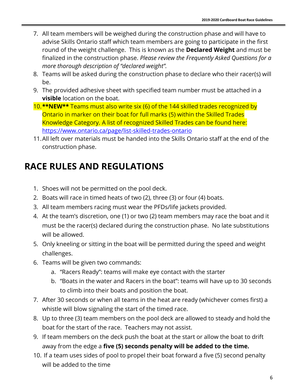- 7. All team members will be weighed during the construction phase and will have to advise Skills Ontario staff which team members are going to participate in the first round of the weight challenge. This is known as the **Declared Weight** and must be finalized in the construction phase. *Please review the Frequently Asked Questions for a more thorough description of "declared weight".*
- 8. Teams will be asked during the construction phase to declare who their racer(s) will be.
- 9. The provided adhesive sheet with specified team number must be attached in a **visible** location on the boat.
- 10.**\*\*NEW\*\*** Teams must also write six (6) of the 144 skilled trades recognized by Ontario in marker on their boat for full marks (5) within the Skilled Trades Knowledge Category. A list of recognized Skilled Trades can be found here: <https://www.ontario.ca/page/list-skilled-trades-ontario>
- 11.All left over materials must be handed into the Skills Ontario staff at the end of the construction phase.

# **RACE RULES AND REGULATIONS**

- 1. Shoes will not be permitted on the pool deck.
- 2. Boats will race in timed heats of two (2), three (3) or four (4) boats.
- 3. All team members racing must wear the PFDs/life jackets provided.
- 4. At the team's discretion, one (1) or two (2) team members may race the boat and it must be the racer(s) declared during the construction phase. No late substitutions will be allowed.
- 5. Only kneeling or sitting in the boat will be permitted during the speed and weight challenges.
- 6. Teams will be given two commands:
	- a. "Racers Ready": teams will make eye contact with the starter
	- b. "Boats in the water and Racers in the boat": teams will have up to 30 seconds to climb into their boats and position the boat.
- 7. After 30 seconds or when all teams in the heat are ready (whichever comes first) a whistle will blow signaling the start of the timed race.
- 8. Up to three (3) team members on the pool deck are allowed to steady and hold the boat for the start of the race. Teachers may not assist.
- 9. If team members on the deck push the boat at the start or allow the boat to drift away from the edge a **five (5) seconds penalty will be added to the time.**
- 10. If a team uses sides of pool to propel their boat forward a five (5) second penalty will be added to the time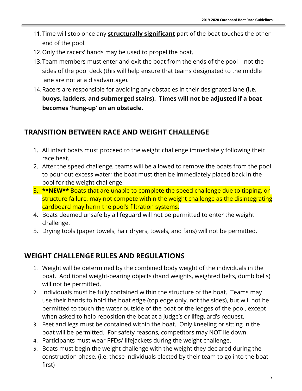- 11.Time will stop once any **structurally significant** part of the boat touches the other end of the pool.
- 12.Only the racers' hands may be used to propel the boat.
- 13.Team members must enter and exit the boat from the ends of the pool not the sides of the pool deck (this will help ensure that teams designated to the middle lane are not at a disadvantage).
- 14.Racers are responsible for avoiding any obstacles in their designated lane **(i.e. buoys, ladders, and submerged stairs). Times will not be adjusted if a boat becomes 'hung-up' on an obstacle.**

### **TRANSITION BETWEEN RACE AND WEIGHT CHALLENGE**

- 1. All intact boats must proceed to the weight challenge immediately following their race heat.
- 2. After the speed challenge, teams will be allowed to remove the boats from the pool to pour out excess water; the boat must then be immediately placed back in the pool for the weight challenge.
- 3. **\*\*NEW\*\*** Boats that are unable to complete the speed challenge due to tipping, or structure failure, may not compete within the weight challenge as the disintegrating cardboard may harm the pool's filtration systems.
- 4. Boats deemed unsafe by a lifeguard will not be permitted to enter the weight challenge.
- 5. Drying tools (paper towels, hair dryers, towels, and fans) will not be permitted.

## **WEIGHT CHALLENGE RULES AND REGULATIONS**

- 1. Weight will be determined by the combined body weight of the individuals in the boat. Additional weight-bearing objects (hand weights, weighted belts, dumb bells) will not be permitted.
- 2. Individuals must be fully contained within the structure of the boat. Teams may use their hands to hold the boat edge (top edge only, not the sides), but will not be permitted to touch the water outside of the boat or the ledges of the pool, except when asked to help reposition the boat at a judge's or lifeguard's request.
- 3. Feet and legs must be contained within the boat. Only kneeling or sitting in the boat will be permitted. For safety reasons, competitors may NOT lie down.
- 4. Participants must wear PFDs/ lifejackets during the weight challenge.
- 5. Boats must begin the weight challenge with the weight they declared during the construction phase. (i.e. those individuals elected by their team to go into the boat first)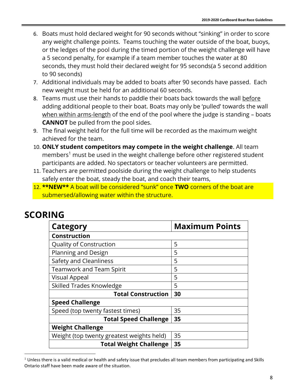- 6. Boats must hold declared weight for 90 seconds without "sinking" in order to score any weight challenge points. Teams touching the water outside of the boat, buoys, or the ledges of the pool during the timed portion of the weight challenge will have a 5 second penalty, for example if a team member touches the water at 80 seconds, they must hold their declared weight for 95 seconds(a 5 second addition to 90 seconds)
- 7. Additional individuals may be added to boats after 90 seconds have passed. Each new weight must be held for an additional 60 seconds.
- 8. Teams must use their hands to paddle their boats back towards the wall before adding additional people to their boat. Boats may only be 'pulled' towards the wall when within arms-length of the end of the pool where the judge is standing - boats **CANNOT** be pulled from the pool sides.
- 9. The final weight held for the full time will be recorded as the maximum weight achieved for the team.
- 10. **ONLY student competitors may compete in the weight challenge**. All team members<sup>1</sup> must be used in the weight challenge before other registered student participants are added. No spectators or teacher volunteers are permitted.
- 11. Teachers are permitted poolside during the weight challenge to help students safely enter the boat, steady the boat, and coach their teams,
- 12. **\*\*NEW\*\*** A boat will be considered "sunk" once **TWO** corners of the boat are submersed/allowing water within the structure.

# **SCORING**

 $\overline{a}$ 

| Category                                  | <b>Maximum Points</b> |  |
|-------------------------------------------|-----------------------|--|
| <b>Construction</b>                       |                       |  |
| <b>Quality of Construction</b>            | 5                     |  |
| Planning and Design                       | 5                     |  |
| Safety and Cleanliness                    | 5                     |  |
| <b>Teamwork and Team Spirit</b>           | 5                     |  |
| Visual Appeal                             | 5                     |  |
| Skilled Trades Knowledge                  | 5                     |  |
| <b>Total Construction</b>                 | 30                    |  |
| <b>Speed Challenge</b>                    |                       |  |
| Speed (top twenty fastest times)          | 35                    |  |
| <b>Total Speed Challenge</b>              | 35                    |  |
| <b>Weight Challenge</b>                   |                       |  |
| Weight (top twenty greatest weights held) | 35                    |  |
| <b>Total Weight Challenge</b>             | 35                    |  |

 $<sup>1</sup>$  Unless there is a valid medical or health and safety issue that precludes all team members from participating and Skills</sup> Ontario staff have been made aware of the situation.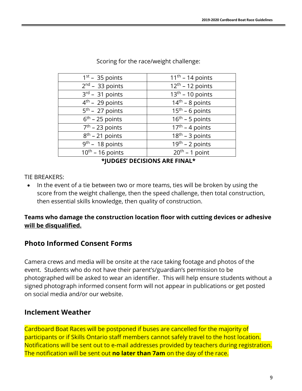| $11th - 14$ points                     |
|----------------------------------------|
| $12th - 12$ points                     |
| $13th - 10$ points                     |
| $14th - 8$ points                      |
| $15th - 6$ points                      |
| $16th - 5$ points                      |
| $17th - 4 points$                      |
| $18th - 3 points$                      |
| $\overline{19}^{\text{th}}$ – 2 points |
| $20th - 1$ point                       |
|                                        |

Scoring for the race/weight challenge:

**\*JUDGES' DECISIONS ARE FINAL\***

### TIE BREAKERS:

• In the event of a tie between two or more teams, ties will be broken by using the score from the weight challenge, then the speed challenge, then total construction, then essential skills knowledge, then quality of construction.

### **Teams who damage the construction location floor with cutting devices or adhesive will be disqualified.**

## **Photo Informed Consent Forms**

Camera crews and media will be onsite at the race taking footage and photos of the event. Students who do not have their parent's/guardian's permission to be photographed will be asked to wear an identifier. This will help ensure students without a signed photograph informed consent form will not appear in publications or get posted on social media and/or our website.

## **Inclement Weather**

Cardboard Boat Races will be postponed if buses are cancelled for the majority of participants or if Skills Ontario staff members cannot safely travel to the host location. Notifications will be sent out to e-mail addresses provided by teachers during registration. The notification will be sent out **no later than 7am** on the day of the race.